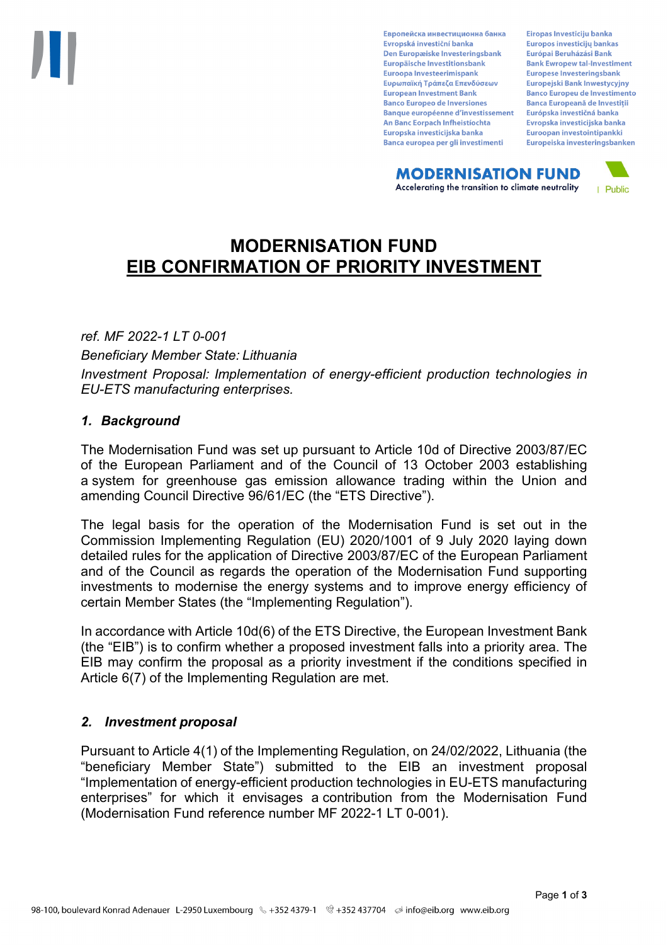Европейска инвестиционна банка Evropská investiční banka Den Europæiske Investeringsbank Europäische Investitionsbank Euroopa Investeerimispank Ευρωπαϊκή Τράπεζα Επενδύσεων **European Investment Bank Banco Europeo de Inversiones Banque européenne d'investissement** An Banc Eorpach Infheistíochta Europska investicijska banka Banca europea per gli investimenti

Eiropas Investīciju banka Europos investicijų bankas Európai Beruházási Bank **Bank Ewropew tal-Investiment** Europese Investeringsbank Europejski Bank Inwestycyjny **Banco Europeu de Investimento Banca Europeană de Investiții** Európska investičná banka Evropska investicijska banka Euroopan investointipankki Europeiska investeringsbanken

**MODERNISATION FUND** Accelerating the transition to climate neutrality



# **MODERNISATION FUND EIB CONFIRMATION OF PRIORITY INVESTMENT**

*ref. MF 2022-1 LT 0-001*

*Beneficiary Member State: Lithuania Investment Proposal: Implementation of energy-efficient production technologies in EU-ETS manufacturing enterprises.*

## *1. Background*

The Modernisation Fund was set up pursuant to Article 10d of Directive 2003/87/EC of the European Parliament and of the Council of 13 October 2003 establishing a system for greenhouse gas emission allowance trading within the Union and amending Council Directive 96/61/EC (the "ETS Directive").

The legal basis for the operation of the Modernisation Fund is set out in the Commission Implementing Regulation (EU) 2020/1001 of 9 July 2020 laying down detailed rules for the application of Directive 2003/87/EC of the European Parliament and of the Council as regards the operation of the Modernisation Fund supporting investments to modernise the energy systems and to improve energy efficiency of certain Member States (the "Implementing Regulation").

In accordance with Article 10d(6) of the ETS Directive, the European Investment Bank (the "EIB") is to confirm whether a proposed investment falls into a priority area. The EIB may confirm the proposal as a priority investment if the conditions specified in Article 6(7) of the Implementing Regulation are met.

### *2. Investment proposal*

Pursuant to Article 4(1) of the Implementing Regulation, on 24/02/2022, Lithuania (the "beneficiary Member State") submitted to the EIB an investment proposal "Implementation of energy-efficient production technologies in EU-ETS manufacturing enterprises" for which it envisages a contribution from the Modernisation Fund (Modernisation Fund reference number MF 2022-1 LT 0-001).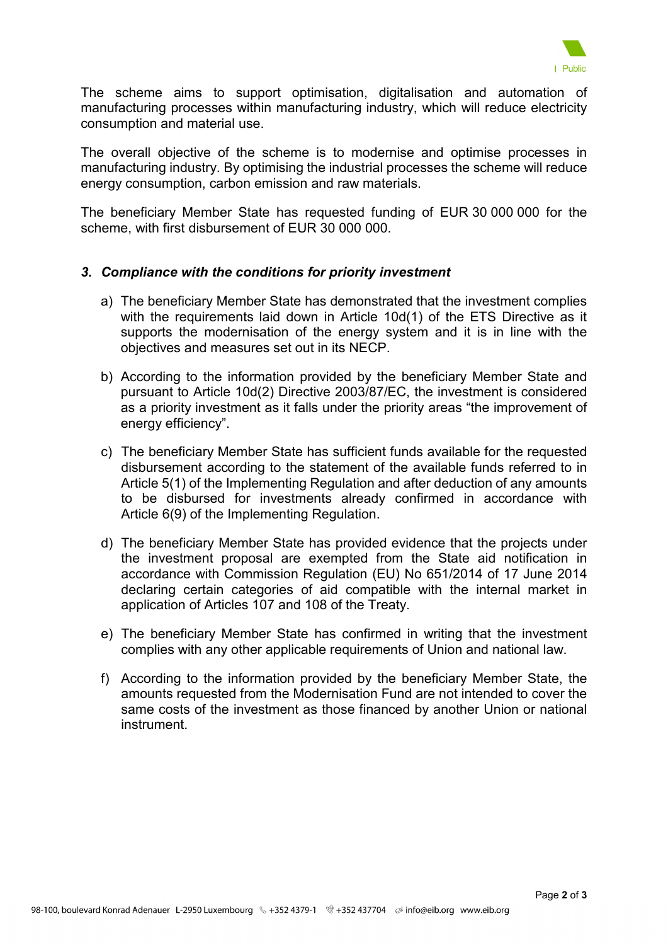

The scheme aims to support optimisation, digitalisation and automation of manufacturing processes within manufacturing industry, which will reduce electricity consumption and material use.

The overall objective of the scheme is to modernise and optimise processes in manufacturing industry. By optimising the industrial processes the scheme will reduce energy consumption, carbon emission and raw materials.

The beneficiary Member State has requested funding of EUR 30 000 000 for the scheme, with first disbursement of EUR 30 000 000.

#### *3. Compliance with the conditions for priority investment*

- a) The beneficiary Member State has demonstrated that the investment complies with the requirements laid down in Article 10d(1) of the ETS Directive as it supports the modernisation of the energy system and it is in line with the objectives and measures set out in its NECP.
- b) According to the information provided by the beneficiary Member State and pursuant to Article 10d(2) Directive 2003/87/EC, the investment is considered as a priority investment as it falls under the priority areas "the improvement of energy efficiency".
- c) The beneficiary Member State has sufficient funds available for the requested disbursement according to the statement of the available funds referred to in Article 5(1) of the Implementing Regulation and after deduction of any amounts to be disbursed for investments already confirmed in accordance with Article 6(9) of the Implementing Regulation.
- d) The beneficiary Member State has provided evidence that the projects under the investment proposal are exempted from the State aid notification in accordance with Commission Regulation (EU) No 651/2014 of 17 June 2014 declaring certain categories of aid compatible with the internal market in application of Articles 107 and 108 of the Treaty.
- e) The beneficiary Member State has confirmed in writing that the investment complies with any other applicable requirements of Union and national law.
- f) According to the information provided by the beneficiary Member State, the amounts requested from the Modernisation Fund are not intended to cover the same costs of the investment as those financed by another Union or national instrument.